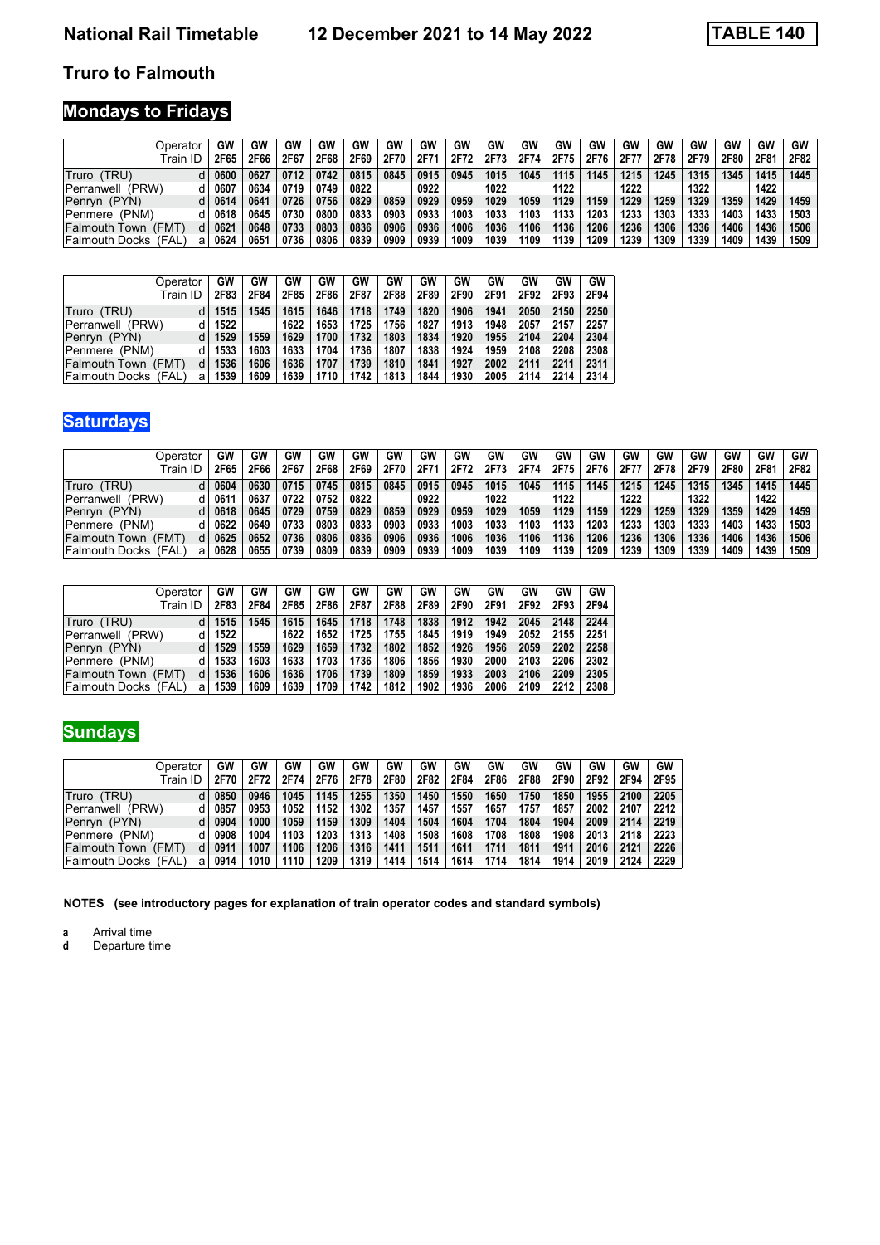#### **Truro to Falmouth**

# **Mondays to Fridays**

| Operator                     | GW            | GW   | GW   | GW   | GW   | GW   | GW   | GW   | GW   | GW   | GW   | GW   | GW   | GW   | GW   | GW   | GW   | <b>GW</b> |
|------------------------------|---------------|------|------|------|------|------|------|------|------|------|------|------|------|------|------|------|------|-----------|
| Train ID                     | 2F65          | 2F66 | 2F67 | 2F68 | 2F69 | 2F70 | 2F7  | 2F72 | 2F73 | 2F74 | 2F75 | 2F76 | 2F77 | 2F78 | 2F79 | 2F80 | 2F81 | 2F82      |
| Truro (TRU)                  | 0600          | 0627 | 0712 | 0742 | 0815 | 0845 | 0915 | 0945 | 1015 | 1045 | 1115 | 1145 | 1215 | 1245 | 1315 | 1345 | 1415 | 1445      |
| Perranwell (PRW)             | 0607          | 0634 | 0719 | 0749 | 0822 |      | 0922 |      | 1022 |      | 1122 |      | 1222 |      | 1322 |      | 1422 |           |
| Penryn (PYN)                 | 0614          | 0641 | 0726 | 0756 | 0829 | 0859 | 0929 | 0959 | 1029 | 1059 | 1129 | 1159 | 1229 | 1259 | 1329 | 1359 | 1429 | 1459      |
| Penmere (PNM)                | 0618          | 0645 | 0730 | 0800 | 0833 | 0903 | 0933 | 1003 | 1033 | 1103 | 1133 | 1203 | 1233 | 1303 | 1333 | 1403 | 1433 | 1503      |
| lFalmouth Town<br>(FMT       | $062^{\circ}$ | 0648 | 0733 | 0803 | 0836 | 0906 | 0936 | 1006 | 1036 | 1106 | 1136 | 1206 | 1236 | 1306 | 1336 | 1406 | 1436 | 1506      |
| (FAL<br>lFalmouth Docks<br>a | 0624          | 0651 | 0736 | 0806 | 0839 | 0909 | 0939 | 1009 | 1039 | 1109 | 1139 | 1209 | 1239 | 1309 | 1339 | 1409 | 1439 | 1509      |

| Operator                      | GW   | GW   | GW   | GW   | GW   | GW   | GW   | GW   | GW   | GW   | GW   | GW   |
|-------------------------------|------|------|------|------|------|------|------|------|------|------|------|------|
| Train ID                      | 2F83 | 2F84 | 2F85 | 2F86 | 2F87 | 2F88 | 2F89 | 2F90 | 2F91 | 2F92 | 2F93 | 2F94 |
| Truro (TRU)                   | 1515 | 1545 | 1615 | 1646 | 1718 | 1749 | 1820 | 1906 | 1941 | 2050 | 2150 | 2250 |
| Perranwell (PRW)              | 1522 |      | 1622 | 1653 | 1725 | 1756 | 1827 | 1913 | 1948 | 2057 | 2157 | 2257 |
| Penryn (PYN)                  | 1529 | 1559 | 1629 | 1700 | 1732 | 1803 | 1834 | 1920 | 1955 | 2104 | 2204 | 2304 |
| Penmere (PNM)                 | 1533 | 1603 | 1633 | 1704 | 1736 | 1807 | 1838 | 1924 | 1959 | 2108 | 2208 | 2308 |
| Falmouth Town<br>(FMT)<br>d   | 1536 | 1606 | 1636 | 1707 | 1739 | 1810 | 1841 | 1927 | 2002 | 2111 | 2211 | 2311 |
| (FAL)<br> Falmouth Docks<br>a | 1539 | 1609 | 1639 | 1710 | 1742 | 1813 | 1844 | 1930 | 2005 | 2114 | 2214 | 2314 |

# **Saturdays**

| Operator                      | GW   | GW   | GW   | GW   | GW   | GW   | GW   | GW   | GW   | GW   | GW   | GW   | GW   | GW   | GW   | GW   | GW   | <b>GW</b> |
|-------------------------------|------|------|------|------|------|------|------|------|------|------|------|------|------|------|------|------|------|-----------|
| Train ID                      | 2F65 | 2F66 | 2F67 | 2F68 | 2F69 | 2F70 | 2F71 | 2F72 | 2F73 | 2F74 | 2F75 | 2F76 | 2F7  | 2F78 | 2F79 | 2F80 | 2F81 | 2F82      |
| Truro (TRU)                   | 0604 | 0630 | 0715 | 0745 | 0815 | 0845 | 0915 | 0945 | 1015 | 1045 | 1115 | 1145 | 1215 | 1245 | 1315 | 1345 | 1415 | 1445      |
| Perranwell (PRW)              | 0611 | 0637 | 0722 | 0752 | 0822 |      | 0922 |      | 1022 |      | 1122 |      | 1222 |      | 1322 |      | 1422 |           |
| (PYN)<br>Penryn               | 0618 | 0645 | 0729 | 0759 | 0829 | 0859 | 0929 | 0959 | 1029 | 1059 | 1129 | 1159 | 1229 | 1259 | 1329 | 1359 | 1429 | 1459      |
| (PNM)<br>Penmere              | 0622 | 0649 | 0733 | 0803 | 0833 | 0903 | 0933 | 1003 | 1033 | 1103 | 1133 | 1203 | 1233 | 1303 | 1333 | 1403 | 1433 | 1503      |
| lFalmouth Town<br>(FMT        | 0625 | 0652 | 0736 | 0806 | 0836 | 0906 | 0936 | 1006 | 1036 | 1106 | 1136 | 1206 | 1236 | 1306 | 1336 | 1406 | 1436 | 1506      |
| (FAL<br><b>Falmouth Docks</b> | 0628 | 0655 | 0739 | 0809 | 0839 | 0909 | 0939 | 1009 | 1039 | 1109 | 1139 | 1209 | 1239 | 1309 | 1339 | 1409 | 1439 | 1509      |

| Operator<br>Train ID          | GW<br>2F83 | GW<br>2F84 | GW<br>2F85 | GW<br>2F86 | GW<br>2F87 | GW<br>2F88 | GW<br>2F89 | GW<br>2F90 | GW<br>2F91 | GW<br>2F92 | GW<br>2F93 | GW<br>2F94 |
|-------------------------------|------------|------------|------------|------------|------------|------------|------------|------------|------------|------------|------------|------------|
| Truro (TRU)                   | 1515       | 1545       | 1615       | 1645       | 1718       | 1748       | 1838       | 1912       | 1942       | 2045       | 2148       | 2244       |
| Perranwell (PRW)              | 1522       |            | 1622       | 1652       | 1725       | 1755       | 1845       | 1919       | 1949       | 2052       | 2155       | 2251       |
| Penryn (PYN)                  | 1529       | 1559       | 1629       | 1659       | 1732       | 1802       | 1852       | 1926       | 1956       | 2059       | 2202       | 2258       |
| IPenmere<br>(PNM)             | 1533       | 1603       | 1633       | 1703       | 1736       | 1806       | 1856       | 1930       | 2000       | 2103       | 2206       | 2302       |
| <b>Falmouth Town</b><br>(FMT) | 1536       | 1606       | 1636       | 1706       | 1739       | 1809       | 1859       | 1933       | 2003       | 2106       | 2209       | 2305       |
| Falmouth Docks<br>(FAL        | 1539<br>a  | 1609       | 1639       | 1709       | 1742       | 1812       | 1902       | 1936       | 2006       | 2109       | 2212       | 2308       |

### **Sundays**

| Operator                     | GW   | GW   | GW   | GW   | GW   | GW   | GW   | GW   | GW   | GW   | GW   | GW   | GW   | GW   |
|------------------------------|------|------|------|------|------|------|------|------|------|------|------|------|------|------|
| Train ID                     | 2F70 | 2F72 | 2F74 | 2F76 | 2F78 | 2F80 | 2F82 | 2F84 | 2F86 | 2F88 | 2F90 | 2F92 | 2F94 | 2F95 |
| (TRU)<br>Truro               | 0850 | 0946 | 1045 | 1145 | 1255 | 1350 | 1450 | 1550 | 1650 | 1750 | 1850 | 1955 | 2100 | 2205 |
| (PRW)<br>Perranwell          | 0857 | 0953 | 1052 | 1152 | 1302 | 1357 | 1457 | 1557 | 1657 | 1757 | 1857 | 2002 | 2107 | 2212 |
| Penryn (PYN)                 | 0904 | 1000 | 1059 | 1159 | 1309 | 1404 | 1504 | 1604 | 1704 | 1804 | 1904 | 2009 | 2114 | 2219 |
| Penmere (PNM)                | 0908 | 1004 | 1103 | 1203 | 1313 | 1408 | 1508 | 1608 | 1708 | 1808 | 1908 | 2013 | 2118 | 2223 |
| Falmouth Town<br>(FMT)       | 0911 | 1007 | 1106 | 1206 | 1316 | 1411 | 1511 | 1611 | 1711 | 1811 | 1911 | 2016 | 2121 | 2226 |
| (FAL<br>lFalmouth Docks<br>a | 0914 | 1010 | 1110 | 1209 | 1319 | 1414 | 1514 | 1614 | 1714 | 1814 | 1914 | 2019 | 2124 | 2229 |

**NOTES (see introductory pages for explanation of train operator codes and standard symbols)**

**a** Arrival time<br>**d** Departure t

Departure time